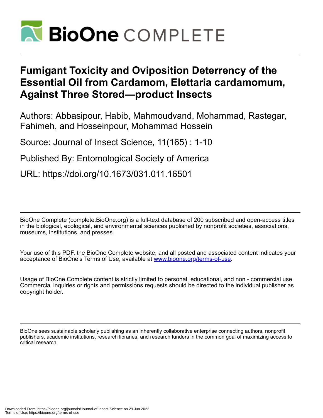

# **Fumigant Toxicity and Oviposition Deterrency of the Essential Oil from Cardamom, Elettaria cardamomum, Against Three Stored—product Insects**

Authors: Abbasipour, Habib, Mahmoudvand, Mohammad, Rastegar, Fahimeh, and Hosseinpour, Mohammad Hossein

Source: Journal of Insect Science, 11(165) : 1-10

Published By: Entomological Society of America

URL: https://doi.org/10.1673/031.011.16501

BioOne Complete (complete.BioOne.org) is a full-text database of 200 subscribed and open-access titles in the biological, ecological, and environmental sciences published by nonprofit societies, associations, museums, institutions, and presses.

Your use of this PDF, the BioOne Complete website, and all posted and associated content indicates your acceptance of BioOne's Terms of Use, available at www.bioone.org/terms-of-use.

Usage of BioOne Complete content is strictly limited to personal, educational, and non - commercial use. Commercial inquiries or rights and permissions requests should be directed to the individual publisher as copyright holder.

BioOne sees sustainable scholarly publishing as an inherently collaborative enterprise connecting authors, nonprofit publishers, academic institutions, research libraries, and research funders in the common goal of maximizing access to critical research.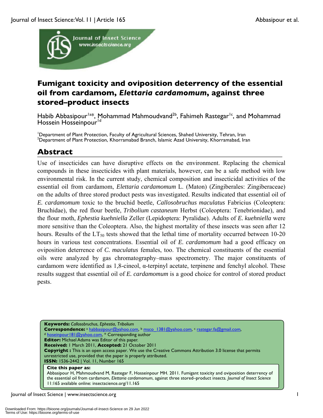

## **Fumigant toxicity and oviposition deterrency of the essential oil from cardamom,** *Elettaria cardamomum***, against three stored–product insects**

Habib Abbasipour<sup>1a\*</sup>, Mohammad Mahmoudvand<sup>2b</sup>, Fahimeh Rastegar<sup>1c</sup>, and Mohammad Hossein Hosseinpour<sup>1d</sup>

<sup>1</sup>Department of Plant Protection, Faculty of Agricultural Sciences, Shahed University, Tehran, Iran <sup>2</sup>Department of Plant Protection, Khorramshad, In <sup>2</sup>Department of Plant Protection, Khorramabad Branch, Islamic Azad University, Khorramabad, Iran

## **Abstract**

Use of insecticides can have disruptive effects on the environment. Replacing the chemical compounds in these insecticides with plant materials, however, can be a safe method with low environmental risk. In the current study, chemical composition and insecticidal activities of the essential oil from cardamom, *Elettaria cardamomum* L. (Maton) (Zingiberales: Zingiberaceae) on the adults of three stored product pests was investigated. Results indicated that essential oil of *E. cardamomum* toxic to the bruchid beetle, *Callosobruchus maculatus* Fabricius (Coleoptera: Bruchidae), the red flour beetle, *Tribolium castaneum* Herbst (Coleoptera: Tenebrionidae), and the flour moth, *Ephestia kuehniella* Zeller (Lepidoptera: Pyralidae). Adults of *E. kuehniella* were more sensitive than the Coleoptera. Also, the highest mortality of these insects was seen after 12 hours. Results of the  $LT_{50}$  tests showed that the lethal time of mortality occurred between 10-20 hours in various test concentrations. Essential oil of *E. cardamomum* had a good efficacy on oviposition deterrence of *C. maculatus* females, too. The chemical constituents of the essential oils were analyzed by gas chromatography–mass spectrometry. The major constituents of cardamom were identified as 1,8-cineol,  $\alpha$ -terpinyl acetate, terpinene and fenchyl alcohol. These results suggest that essential oil of *E. cardamomum* is a good choice for control of stored product pests.

**Keywords:** *Callosobruchus*, *Ephestia*, *Tribolium* **Correspondence:** a habbasipour@yahoo.com, b msco\_1381@yahoo.com, c rastegar.fa@gmail.com, <sup>d</sup> hoseinpour181@yahoo.com, \* Corresponding author **Editor:** Michael Adams was Editor of this paper. **Received:** 1 March 2011, **Accepted:** 21 October 2011 **Copyright :** This is an open access paper. We use the Creative Commons Attribution 3.0 license that permits unrestricted use, provided that the paper is properly attributed. **ISSN:** 1536-2442 | Vol. 11, Number 165 **Cite this paper as:** Abbasipour H, Mahmoudvand M, Rastegar F, Hosseinpour MH. 2011. Fumigant toxicity and oviposition deterrency of the essential oil from cardamom, *Elettaria cardamomum*, against three stored–product insects*. Journal of Insect Science*  11:165 available online: insectscience.org/11.165

Journal of Insect Science | www.insectscience.org 1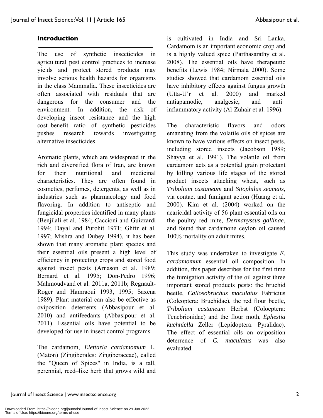#### **Introduction**

The use of synthetic insecticides in agricultural pest control practices to increase yields and protect stored products may involve serious health hazards for organisms in the class Mammalia. These insecticides are often associated with residuals that are dangerous for the consumer and the environment. In addition, the risk of developing insect resistance and the high cost–benefit ratio of synthetic pesticides pushes research towards investigating alternative insecticides.

Aromatic plants, which are widespread in the rich and diversified flora of Iran, are known for their nutritional and medicinal characteristics. They are often found in cosmetics, perfumes, detergents, as well as in industries such as pharmacology and food flavoring. In addition to antiseptic and fungicidal properties identified in many plants (Benjilali et al. 1984; Caccioni and Guizzardi 1994; Dayal and Purohit 1971; Ghfir et al. 1997; Mishra and Dubey 1994), it has been shown that many aromatic plant species and their essential oils present a high level of efficiency in protecting crops and stored food against insect pests (Arnason et al. 1989; Bernard et al. 1995; Don-Pedro 1996; Mahmoudvand et al. 2011a, 2011b; Regnault-Roger and Hamraoui 1993, 1995; Saxena 1989). Plant material can also be effective as oviposition deterrents (Abbasipour et al. 2010) and antifeedants (Abbasipour et al. 2011). Essential oils have potential to be developed for use in insect control programs.

The cardamom, *Elettaria cardamomum* L. (Maton) (Zingiberales: Zingiberaceae), called the "Queen of Spices" in India, is a tall, perennial, reed–like herb that grows wild and is cultivated in India and Sri Lanka. Cardamom is an important economic crop and is a highly valued spice (Parthasarathy et al. 2008). The essential oils have therapeutic benefits (Lewis 1984; Nirmala 2000). Some studies showed that cardamom essential oils have inhibitory effects against fungus growth (Utta-U´r et al. 2000) and marked antiapamodic, analgesic, and anti– inflammatory activity (Al-Zuhair et al. 1996).

The characteristic flavors and odors emanating from the volatile oils of spices are known to have various effects on insect pests, including stored insects (Jacobson 1989; Shayya et al. 1991). The volatile oil from cardamom acts as a potential grain protectant by killing various life stages of the stored product insects attacking wheat, such as *Tribolium castaneum* and *Sitophilus zeamais*, via contact and fumigant action (Huang et al. 2000). Kim et al. (2004) worked on the acaricidal activity of 56 plant essential oils on the poultry red mite, *Dermanyssus gallinae*, and found that cardamone ceylon oil caused 100% mortality on adult mites.

This study was undertaken to investigate *E. cardamomum* essential oil composition. In addition, this paper describes for the first time the fumigation activity of the oil against three important stored products pests: the bruchid beetle, *Callosobruchus maculatus* Fabricius (Coleoptera: Bruchidae), the red flour beetle, *Tribolium castaneum* Herbst (Coloeptera: Tenebrionidae) and the flour moth, *Ephestia kuehniella* Zeller (Lepidoptera: Pyralidae). The effect of essential oils on oviposition deterrence of *C. maculatus* was also evaluated.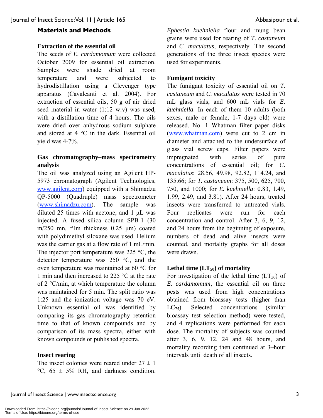### **Materials and Methods**

#### **Extraction of the essential oil**

The seeds of *E. cardamomum* were collected October 2009 for essential oil extraction. Samples were shade dried at room temperature and were subjected to hydrodistillation using a Clevenger type apparatus (Cavalcanti et al. 2004). For extraction of essential oils, 50 g of air–dried seed material in water (1:12 w:v) was used, with a distillation time of 4 hours. The oils were dried over anhydrous sodium sulphate and stored at 4 °C in the dark. Essential oil yield was 4-7%.

### **Gas chromatography–mass spectrometry analysis**

The oil was analyzed using an Agilent HP-5973 chromatograph (Agilent Technologies, www.agilent.com) equipped with a Shimadzu QP-5000 (Quadruple) mass spectrometer (www.shimadzu.com). The sample was diluted 25 times with acetone, and 1 μL was injected. A fused silica column SPB-1 (30 m/250 mn, film thickness 0.25 μm) coated with polydimethyl siloxane was used. Helium was the carrier gas at a flow rate of 1 mL/min. The injector port temperature was  $225 \degree C$ , the detector temperature was 250 °C, and the oven temperature was maintained at 60 °C for 1 min and then increased to 225 °C at the rate of 2 °C/min, at which temperature the column was maintained for 5 min. The split ratio was 1:25 and the ionization voltage was 70 eV. Unknown essential oil was identified by comparing its gas chromatography retention time to that of known compounds and by comparison of its mass spectra, either with known compounds or published spectra.

#### **Insect rearing**

The insect colonies were reared under  $27 \pm 1$  $^{\circ}$ C, 65  $\pm$  5% RH, and darkness condition. *Ephestia kuehniella* flour and mung bean grains were used for rearing of *T. castaneum* and *C. maculatus*, respectively. The second generations of the three insect species were used for experiments.

#### **Fumigant toxicity**

The fumigant toxicity of essential oil on *T. castaneum* and *C. maculatus* were tested in 70 mL glass vials, and 600 mL vials for *E. kuehniella*. In each of them 10 adults (both sexes, male or female, 1-7 days old) were released. No. 1 Whatman filter paper disks (www.whatman.com) were cut to 2 cm in diameter and attached to the undersurface of glass vial screw caps. Filter papers were impregnated with series of pure concentrations of essential oil; for *C. maculatus*: 28.56, 49.98, 92.82, 114.24, and 135.66; for *T. castaneum*: 375, 500, 625, 700, 750, and 1000; for *E. kuehniella*: 0.83, 1.49, 1.99, 2.49, and 3.81). After 24 hours, treated insects were transferred to untreated vials. Four replicates were run for each concentration and control. After 3, 6, 9, 12, and 24 hours from the beginning of exposure, numbers of dead and alive insects were counted, and mortality graphs for all doses were drawn.

#### Lethal time  $(LT_{50})$  of mortality

For investigation of the lethal time  $(LT_{50})$  of *E. cardamomum*, the essential oil on three pests was used from high concentrations obtained from bioassay tests (higher than  $LC_{75}$ ). Selected concentrations (similar bioassay test selection method) were tested, and 4 replications were performed for each dose. The mortality of subjects was counted after 3, 6, 9, 12, 24 and 48 hours, and mortality recording then continued at 3–hour intervals until death of all insects.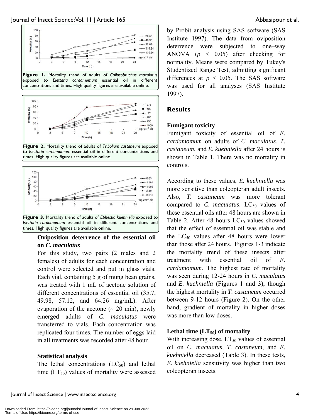





**Figure 2.** Mortality trend of adults of *Tribolium castaneum* exposed to *Elettaria cardamomum* essential oil in different concentrations and times. High quality figures are available online.



#### **Oviposition deterrence of the essential oil on** *C. maculatus*

For this study, two pairs (2 males and 2 females) of adults for each concentration and control were selected and put in glass vials. Each vial, containing 5 g of mung bean grains, was treated with 1 mL of acetone solution of different concentrations of essential oil (35.7, 49.98, 57.12, and 64.26 mg/mL). After evaporation of the acetone  $($   $\sim$  20 min), newly emerged adults of *C. maculatus* were transferred to vials. Each concentration was replicated four times. The number of eggs laid in all treatments was recorded after 48 hour.

#### **Statistical analysis**

The lethal concentrations  $(LC_{50})$  and lethal time  $(LT_{50})$  values of mortality were assessed by Probit analysis using SAS software (SAS Institute 1997). The data from oviposition deterrence were subjected to one–way ANOVA (*p <* 0.05) after checking for normality. Means were compared by Tukey's Studentized Range Test, admitting significant differences at *p <* 0.05. The SAS software was used for all analyses (SAS Institute 1997).

#### **Results**

#### **Fumigant toxicity**

Fumigant toxicity of essential oil of *E. cardamomum* on adults of *C. maculatus*, *T. castaneum*, and *E. kuehniella* after 24 hours is shown in Table 1. There was no mortality in controls.

According to these values, *E. kuehniella* was more sensitive than coleopteran adult insects. Also, *T. castaneum* was more tolerant compared to *C. maculatus*. LC<sub>50</sub> values of these essential oils after 48 hours are shown in Table 2. After 48 hours  $LC_{50}$  values showed that the effect of essential oil was stable and the  $LC_{50}$  values after 48 hours were lower than those after 24 hours. Figures 1-3 indicate the mortality trend of these insects after treatment with essential oil of *E. cardamomum*. The highest rate of mortality was seen during 12-24 hours in *C. maculatus*  and *E. kuehniella* (Figures 1 and 3), though the highest mortality in *T. castaneum* occurred between 9-12 hours (Figure 2). On the other hand, gradient of mortality in higher doses was more than low doses.

#### Lethal time  $(LT_{50})$  of mortality

With increasing dose,  $LT_{50}$  values of essential oil on *C. maculatus*, *T. castaneum*, and *E. kuehniella* decreased (Table 3). In these tests, *E. kuehniella* sensitivity was higher than two coleopteran insects.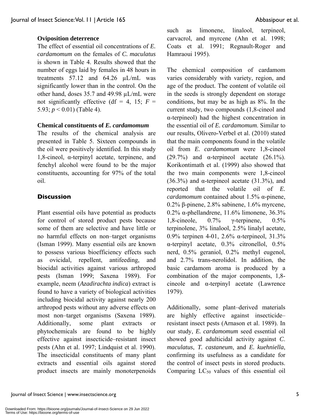## **Oviposition deterrence**

The effect of essential oil concentrations of *E. cardamomum* on the females of *C. maculatus* is shown in Table 4. Results showed that the number of eggs laid by females in 48 hours in treatments  $57.12$  and  $64.26$   $\mu$ L/mL was significantly lower than in the control. On the other hand, doses  $35.7$  and  $49.98 \mu L/mL$  were not significantly effective (df = 4, 15;  $F =$ 5.93;  $p < 0.01$ ) (Table 4).

## **Chemical constituents of** *E. cardamomum*

The results of the chemical analysis are presented in Table 5. Sixteen compounds in the oil were positively identified. In this study  $1,8$ -cineol,  $\alpha$ -terpinyl acetate, terpinene, and fenchyl alcohol were found to be the major constituents, accounting for 97% of the total oil.

### **Discussion**

Plant essential oils have potential as products for control of stored product pests because some of them are selective and have little or no harmful effects on non–target organisms (Isman 1999). Many essential oils are known to possess various bioefficiency effects such as ovicidal, repellent, antifeeding, and biocidal activities against various arthropod pests (Isman 1999; Saxena 1989). For example, neem (*Azadirachta indica*) extract is found to have a variety of biological activities including biocidal activity against nearly 200 arthropod pests without any adverse effects on most non–target organisms (Saxena 1989). Additionally, some plant extracts or phytochemicals are found to be highly effective against insecticide–resistant insect pests (Ahn et al. 1997; Lindquist et al. 1990). The insecticidal constituents of many plant extracts and essential oils against stored product insects are mainly monoterpenoids such as limonene, linalool, terpineol, carvacrol, and myrcene (Ahn et al. 1998; Coats et al. 1991; Regnault-Roger and Hamraoui 1995).

The chemical composition of cardamom varies considerably with variety, region, and age of the product. The content of volatile oil in the seeds is strongly dependent on storage conditions, but may be as high as 8%. In the current study, two compounds (1,8-cineol and -terpineol) had the highest concentration in the essential oil of *E. cardamomum*. Similar to our results, Olivero-Verbel et al. (2010) stated that the main components found in the volatile oil from *E. cardamomum* were 1,8-cineol (29.7%) and  $\alpha$ -terpineol acetate (26.1%). Korikontimath et al. (1999) also showed that the two main components were 1,8-cineol  $(36.3\%)$  and  $\alpha$ -terpineol acetate  $(31.3\%)$ , and reported that the volatile oil of *E. cardamomum* contained about 1.5%  $\alpha$ -pinene,  $0.2\%$   $\beta$ -pinene,  $2.8\%$  sabinene,  $1.6\%$  myrcene,  $0.2\%$   $\alpha$ -phellandrene, 11.6% limonene, 36.3% 1,8-cineole,  $0.7\%$   $\gamma$ -terpinene,  $0.5\%$ terpinolene, 3% linalool, 2.5% linalyl acetate, 0.9% terpinen 4-01, 2.6%  $\alpha$ -terpineol, 31.3%  $\alpha$ -terpinyl acetate, 0.3% citronellol, 0.5% nerd, 0.5% geraniol, 0.2% methyl eugenol, and 2.7% trans-nerolidol. In addition, the basic cardamom aroma is produced by a combination of the major components, 1,8 cineole and  $\alpha$ -terpinyl acetate (Lawrence 1979).

Additionally, some plant–derived materials are highly effective against insecticide– resistant insect pests (Arnason et al. 1989). In our study, *E. cardamomum* seed essential oil showed good adulticidal activity against *C*. *maculatus*, *T. castaneum*, and *E. kuehniella*, confirming its usefulness as a candidate for the control of insect pests in stored products. Comparing  $LC_{50}$  values of this essential oil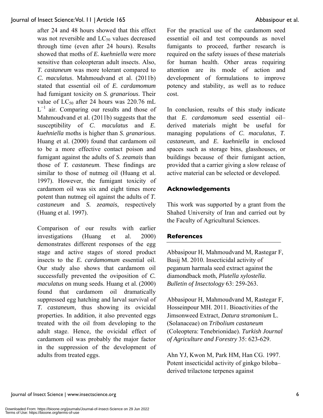after 24 and 48 hours showed that this effect was not reversible and  $LC_{50}$  values decreased through time (even after 24 hours). Results showed that moths of *E. kuehniella* were more sensitive than coleopteran adult insects. Also, *T. castaneum* was more tolerant compared to *C. maculatus*. Mahmoudvand et al. (2011b) stated that essential oil of *E. cardamomum* had fumigant toxicity on *S. granarious*. Their value of  $LC_{50}$  after 24 hours was 220.76 mL  $L^{-1}$  air. Comparing our results and those of Mahmoudvand et al. (2011b) suggests that the susceptibility of *C*. *maculatus* and *E. kuehniella* moths is higher than *S. granarious*. Huang et al. (2000) found that cardamom oil to be a more effective contact poison and fumigant against the adults of *S. zeamais* than those of *T. castaneum*. These findings are similar to those of nutmeg oil (Huang et al. 1997). However, the fumigant toxicity of cardamom oil was six and eight times more potent than nutmeg oil against the adults of *T. castaneum* and *S. zeamais*, respectively (Huang et al. 1997).

Comparison of our results with earlier investigations (Huang et al. 2000) demonstrates different responses of the egg stage and active stages of stored product insects to the *E. cardamomum* essential oil. Our study also shows that cardamom oil successfully prevented the oviposition of *C. maculatus* on mung seeds. Huang et al. (2000) found that cardamom oil dramatically suppressed egg hatching and larval survival of *T. castaneum*, thus showing its ovicidal properties. In addition, it also prevented eggs treated with the oil from developing to the adult stage. Hence, the ovicidal effect of cardamom oil was probably the major factor in the suppression of the development of adults from treated eggs.

For the practical use of the cardamom seed essential oil and test compounds as novel fumigants to proceed, further research is required on the safety issues of these materials for human health. Other areas requiring attention are its mode of action and development of formulations to improve potency and stability, as well as to reduce cost.

In conclusion, results of this study indicate that *E. cardamomum* seed essential oil– derived materials might be useful for managing populations of *C*. *maculatus*, *T. castaneum*, and *E. kuehniella* in enclosed spaces such as storage bins, glasshouses, or buildings because of their fumigant action, provided that a carrier giving a slow release of active material can be selected or developed.

## **Acknowledgements**

This work was supported by a grant from the Shahed University of Iran and carried out by the Faculty of Agricultural Sciences.

## **References**

Abbasipour H, Mahmoudvand M, Rastegar F, Basij M. 2010. Insecticidal activity of peganum harmala seed extract against the diamondback moth, *Plutella xylostella*. *Bulletin of Insectology* 63: 259-263.

Abbasipour H, Mahmoudvand M, Rastegar F, Hosseinpour MH. 2011. Bioactivities of the Jimsonweed Extract, *Datura stramonium* L. (Solanaceae) on *Tribolium castaneum* (Coleoptera: Tenebrionidae). *Turkish Journal of Agriculture and Forestry* 35: 623-629.

Ahn YJ, Kwon M, Park HM, Han CG. 1997. Potent insecticidal activity of ginkgo biloba– derived trilactone terpenes against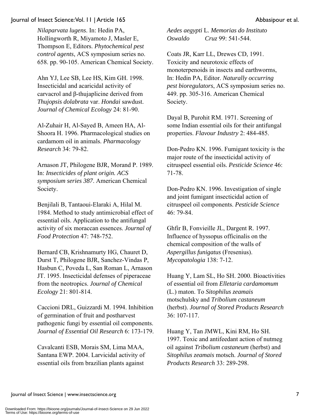*Nilaparvata lugens*. In: Hedin PA, Hollingworth R, Miyamoto J, Masler E, Thompson E, Editors. *Phytochemical pest control agents*, ACS symposium series no. 658. pp. 90-105. American Chemical Society.

Ahn YJ, Lee SB, Lee HS, Kim GH. 1998. Insecticidal and acaricidal activity of carvacrol and  $\beta$ -thujaplicine derived from *Thujopsis dolabrata* var. *Hondai* sawdust. *Journal of Chemical Ecology* 24: 81-90.

Al-Zuhair H, Al-Sayed B, Ameen HA, Al-Shoora H. 1996. Pharmacological studies on cardamom oil in animals. *Pharmacology Research* 34: 79-82.

Arnason JT, Philogene BJR, Morand P. 1989. In: *Insecticides of plant origin. ACS symposium series 387*. American Chemical Society.

Benjilali B, Tantaoui-Elaraki A, Hilal M. 1984. Method to study antimicrobial effect of essential oils. Application to the antifungal activity of six moraccan essences. *Journal of Food Protection* 47: 748-752.

Bernard CB, Krishnamurty HG, Chauret D, Durst T, Philogene BJR, Sanchez-Vindas P, Hasbun C, Poveda L, San Roman L, Arnason JT. 1995. Insecticidal defenses of piperaceae from the neotropics. *Journal of Chemical Ecology* 21: 801-814.

Caccioni DRL, Guizzardi M. 1994. Inhibition of germination of fruit and postharvest pathogenic fungi by essential oil components. *Journal of Essential Oil Research* 6: 173-179.

Cavalcanti ESB, Morais SM, Lima MAA, Santana EWP. 2004. Larvicidal activity of essential oils from brazilian plants against

*Aedes aegypti* L. *Memorias do Instituto Oswaldo Cruz* 99: 541-544.

Coats JR, Karr LL, Drewes CD, 1991. Toxicity and neurotoxic effects of monoterpenoids in insects and earthworms, In: Hedin PA, Editor. *Naturally occurring pest bioregulators*, ACS symposium series no. 449. pp. 305-316. American Chemical Society.

Dayal B, Purohit RM. 1971. Screening of some Indian essential oils for their antifungal properties. *Flavour Industry* 2: 484-485.

Don-Pedro KN. 1996. Fumigant toxicity is the major route of the insecticidal activity of citruspeel essential oils. *Pesticide Science* 46: 71-78.

Don-Pedro KN. 1996. Investigation of single and joint fumigant insecticidal action of citruspeel oil components. *Pesticide Science* 46: 79-84.

Ghfir B, Fonvieille JL, Dargent R. 1997. Influence of hyssopus officinalis on the chemical composition of the walls of *Aspergillus funigatus* (Fresenius). *Mycopatologia* 138: 7-12.

Huang Y, Lam SL, Ho SH. 2000. Bioactivities of essential oil from *Elletaria cardamomum* (L.) maton. To *Sitophilus zeamais* motschulsky and *Tribolium castaneum* (herbst). *Journal of Stored Products Research* 36: 107-117.

Huang Y, Tan JMWL, Kini RM, Ho SH. 1997. Toxic and antifeedant action of nutmeg oil against *Tribolium castaneum* (herbst) and *Sitophilus zeamais* motsch. *Journal of Stored Products Research* 33: 289-298.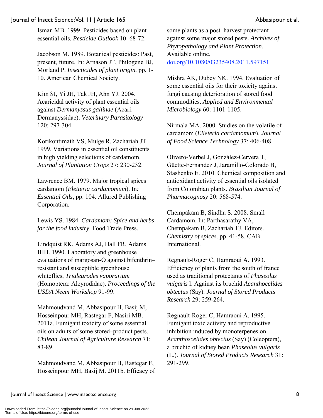Isman MB. 1999. Pesticides based on plant essential oils. *Pesticide Outlook* 10: 68-72.

Jacobson M. 1989. Botanical pesticides: Past, present, future. In: Arnason JT, Philogene BJ, Morland P. *Insecticides of plant origin.* pp. 1- 10. American Chemical Society.

Kim SI, Yi JH, Tak JH, Ahn YJ. 2004. Acaricidal activity of plant essential oils against *Dermanyssus gallinae* (Acari: Dermanyssidae). *Veterinary Parasitology* 120: 297-304.

Korikontimath VS, Mulge R, Zachariah JT. 1999. Variations in essential oil constituents in high yielding selections of cardamom. *Journal of Plantation Crops* 27: 230-232.

Lawrence BM. 1979. Major tropical spices cardamom (*Eletteria cardamomum*). In*: Essential Oils*, pp. 104. Allured Publishing Corporation.

Lewis YS. 1984. *Cardamom: Spice and herbs for the food industry*. Food Trade Press.

Lindquist RK, Adams AJ, Hall FR, Adams IHH. 1990. Laboratory and greenhouse evaluations of margosan-O against bifenthrin– resistant and susceptible greenhouse whiteflies, *Trialeurodes vaporarium* (Homoptera: Aleyrodidae). *Proceedings of the USDA Neem Workshop* 91-99.

Mahmoudvand M, Abbasipour H, Basij M, Hosseinpour MH, Rastegar F, Nasiri MB. 2011a. Fumigant toxicity of some essential oils on adults of some stored–product pests. *Chilean Journal of Agriculture Research* 71: 83-89.

Mahmoudvand M, Abbasipour H, Rastegar F, Hosseinpour MH, Basij M. 2011b. Efficacy of some plants as a post–harvest protectant against some major stored pests. *Archives of Phytopathology and Plant Protection*. Available online, doi.org/10.1080/03235408.2011.597151

Mishra AK, Dubey NK. 1994. Evaluation of some essential oils for their toxicity against fungi causing deterioration of stored food commodities. *Applied and Environmental Microbiology* 60: 1101-1105.

Nirmala MA. 2000. Studies on the volatile of cardamom (*Elleteria cardamomum*). *Journal of Food Science Technology* 37: 406-408.

Olivero-Verbel J, González-Cervera T, Güette-Fernandez J, Jaramillo-Colorado B, Stashenko E. 2010. Chemical composition and antioxidant activity of essential oils isolated from Colombian plants. *Brazilian Journal of Pharmacognosy* 20: 568-574.

Chempakam B, Sindhu S. 2008*.* Small Cardamom. In: Parthasarathy VA, Chempakam B, Zachariah TJ, Editors. *Chemistry of spices*. pp. 41-58. CAB International.

Regnault-Roger C, Hamraoui A. 1993. Efficiency of plants from the south of france used as traditional protectants of *Phaseolus vulgaris* l. Against its bruchid *Acanthocelides obtectus* (Say). *Journal of Stored Products Research* 29: 259-264.

Regnault-Roger C, Hamraoui A. 1995. Fumigant toxic activity and reproductive inhibition induced by monoterpenes on *Acanthoscelides obtectus* (Say) (Coleoptera), a bruchid of kidney bean *Phaseolus vulgaris* (L.). *Journal of Stored Products Research* 31: 291-299.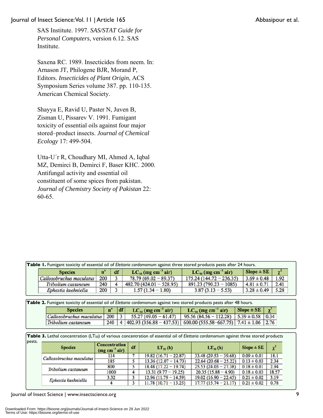SAS Institute. 1997. *SAS/STAT Guide for Personal Computers*, version 6.12. SAS Institute.

Saxena RC. 1989. Insecticides from neem. In: Arnason JT, Philogene BJR, Morand P, Editors. *Insecticides of Plant Origin*, ACS Symposium Series volume 387. pp. 110-135. American Chemical Society.

Shayya E, Ravid U, Paster N, Juven B, Zisman U, Pissarev V. 1991. Fumigant toxicity of essential oils against four major stored–product insects. *Journal of Chemical Ecology* 17: 499-504.

Utta-U´r R, Choudhary MI, Ahmed A, Iqbal MZ, Demirci B, Demirci F, Baser KHC. 2000. Antifungal activity and essential oil constituent of some spices from pakistan. *Journal of Chemistry Society of Pakistan* 22: 60-65.

| <b>Species</b>      | n.  | df                       | $LC_{50}$ (mg cm <sup>-3</sup> air) | $LC_{90}$ (mg cm <sup>-3</sup> air) | $Slope \pm SE$  | $\sim$                                                                                                                         |
|---------------------|-----|--------------------------|-------------------------------------|-------------------------------------|-----------------|--------------------------------------------------------------------------------------------------------------------------------|
|                     |     |                          | $78.79(69.02 - 89.37)$              | $175.24(144.72 - 236.35)$           | $3.69 \pm 0.48$ | 1.92                                                                                                                           |
| Tribolium castaneum | 240 |                          | $482.70(424.01 - 528.95)$           | $891.23(790.23 - 1085)$             | $4.81 \pm 0.71$ | 2.41                                                                                                                           |
| Ephestia kuehniella | 200 |                          | $1.57(1.34 - 1.80)$                 | $3.87(3.13 - 5.53)$                 | $3.28 \pm 0.49$ | 5.28                                                                                                                           |
|                     |     | Callosobruchus maculatus | 200                                 |                                     |                 | <b>Table 1.</b> Fumigant toxicity of essential oil of Elettaria cardamomum against three stored products pests after 24 hours. |

**Table 2.** Fumigant toxicity of essential oil of *Elettaria cardamomum* against two stored products pests after 48 hours.

| <b>Species</b>                                                                                               | $n^*$  df | $LC_{50}$ (mg cm <sup>-3</sup> air)                                                    | $LC_{90}$ (mg cm <sup>-3</sup> air) | Slope $\pm$ SE $\chi^2$ |  |
|--------------------------------------------------------------------------------------------------------------|-----------|----------------------------------------------------------------------------------------|-------------------------------------|-------------------------|--|
| Callosobruchus maculatus   200   3   55.27 (49.05 - 61.47)   95.56 (84.56 - 112.28)   5.39 $\pm$ 0.58   0.34 |           |                                                                                        |                                     |                         |  |
| Tribolium castaneum                                                                                          |           | 240   4   402.93 (356.88 - 437.53)   600.00 (555.58 - 667.75)   7.41 $\pm$ 1.06   2.76 |                                     |                         |  |

| Table 3. Lethal concentration (LT <sub>50</sub> ) of various concentration of essential oil of Elettaria cardamomum against three stored products |  |                  |  |  |  |  |  |  |  |  |
|---------------------------------------------------------------------------------------------------------------------------------------------------|--|------------------|--|--|--|--|--|--|--|--|
| pests.                                                                                                                                            |  |                  |  |  |  |  |  |  |  |  |
|                                                                                                                                                   |  | $C$ angantuation |  |  |  |  |  |  |  |  |

| <b>Species</b>           | Concentration<br>$(mg cm^{-3} air)$ | df | $LT_{so}$ (h)          | $LT_{90}$ (h)          | $Slope \pm SE$  | $\chi^2$ |
|--------------------------|-------------------------------------|----|------------------------|------------------------|-----------------|----------|
| Callosobruchus maculatus | 114                                 |    | $19.82(16.71 - 22.87)$ | $33.48(29.53 - 39.68)$ | $0.09 \pm 0.01$ | 18.1     |
|                          | 185                                 |    | $13.36(12.07 - 14.73)$ | $22.64(20.68-25.22)$   | $0.13 \pm 0.03$ | 2.34     |
|                          | 800                                 |    | $18.48(17.22 - 19.74)$ | $25.53(24.03 - 27.38)$ | $0.18 \pm 0.01$ | 2.94     |
| Tribolium castaneum      | 1000                                | 4  | $13.31(9.77 - 19.25)$  | $20.35(15.88 - 4.90)$  | $0.18 \pm 0.03$ | 18.57    |
| Ephestia kuehniella      | 3.32                                |    | $12.96(11.79 - 14.59)$ | $19.02(16.90 - 22.45)$ | $0.21 \pm 0.02$ | 3.19     |
|                          |                                     |    | $11.78(10.71 - 13.25)$ | $17.77(15.74-21.17)$   | $0.21 \pm 0.02$ | 0.78     |

Journal of Insect Science | www.insectscience.org 9